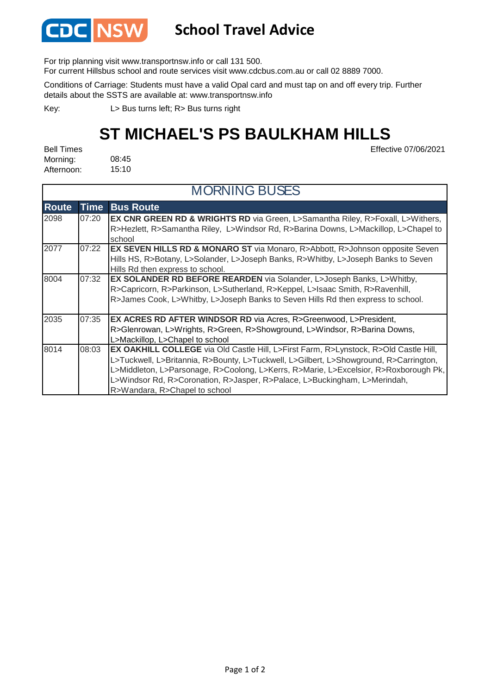

## **School Travel Advice**

For trip planning visit www.transportnsw.info or call 131 500.

For current Hillsbus school and route services visit www.cdcbus.com.au or call 02 8889 7000.

Conditions of Carriage: Students must have a valid Opal card and must tap on and off every trip. Further details about the SSTS are available at: www.transportnsw.info

L> Bus turns left; R> Bus turns right Key:

## **ST MICHAEL'S PS BAULKHAM HILLS**

Effective 07/06/2021

08:45 15:10 Bell Times Morning: Afternoon:

| <b>MORNING BUSES</b> |             |                                                                                                                                                                                                                                                                                                                                                                                            |  |
|----------------------|-------------|--------------------------------------------------------------------------------------------------------------------------------------------------------------------------------------------------------------------------------------------------------------------------------------------------------------------------------------------------------------------------------------------|--|
| <b>Route</b>         | <b>Time</b> | <b>Bus Route</b>                                                                                                                                                                                                                                                                                                                                                                           |  |
| 2098                 | 07:20       | EX CNR GREEN RD & WRIGHTS RD via Green, L>Samantha Riley, R>Foxall, L>Withers,<br>R>Hezlett, R>Samantha Riley, L>Windsor Rd, R>Barina Downs, L>Mackillop, L>Chapel to<br>school                                                                                                                                                                                                            |  |
| 2077                 | 07:22       | <b>EX SEVEN HILLS RD &amp; MONARO ST</b> via Monaro, R>Abbott, R>Johnson opposite Seven<br>Hills HS, R>Botany, L>Solander, L>Joseph Banks, R>Whitby, L>Joseph Banks to Seven<br>Hills Rd then express to school.                                                                                                                                                                           |  |
| 8004                 | 07:32       | <b>EX SOLANDER RD BEFORE REARDEN</b> via Solander, L>Joseph Banks, L>Whitby,<br>R>Capricorn, R>Parkinson, L>Sutherland, R>Keppel, L>Isaac Smith, R>Ravenhill,<br>R>James Cook, L>Whitby, L>Joseph Banks to Seven Hills Rd then express to school.                                                                                                                                          |  |
| 2035                 | 07:35       | <b>EX ACRES RD AFTER WINDSOR RD</b> via Acres, R>Greenwood, L>President,<br>R>Glenrowan, L>Wrights, R>Green, R>Showground, L>Windsor, R>Barina Downs,<br>L>Mackillop, L>Chapel to school                                                                                                                                                                                                   |  |
| 8014                 | 08:03       | <b>EX OAKHILL COLLEGE</b> via Old Castle Hill, L>First Farm, R>Lynstock, R>Old Castle Hill,<br>L>Tuckwell, L>Britannia, R>Bounty, L>Tuckwell, L>Gilbert, L>Showground, R>Carrington,<br>L>Middleton, L>Parsonage, R>Coolong, L>Kerrs, R>Marie, L>Excelsior, R>Roxborough Pk,<br>L>Windsor Rd, R>Coronation, R>Jasper, R>Palace, L>Buckingham, L>Merindah,<br>R>Wandara, R>Chapel to school |  |